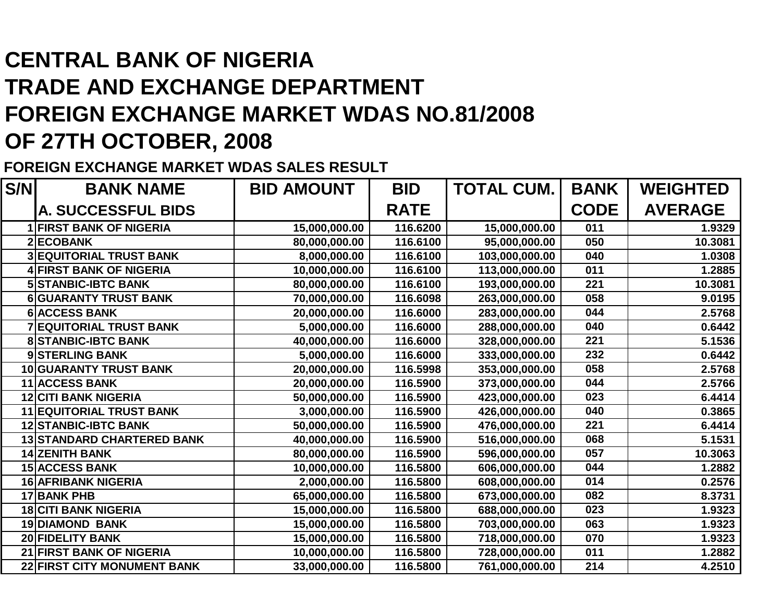## **CENTRAL BANK OF NIGERIA TRADE AND EXCHANGE DEPARTMENT FOREIGN EXCHANGE MARKET WDAS NO.81/2008OF 27TH OCTOBER, 2008**

**FOREIGN EXCHANGE MARKET WDAS SALES RESULT**

| S/N | <b>BANK NAME</b>                  | <b>BID AMOUNT</b> | <b>BID</b>  | <b>TOTAL CUM.</b> | <b>BANK</b> | <b>WEIGHTED</b> |
|-----|-----------------------------------|-------------------|-------------|-------------------|-------------|-----------------|
|     | <b>A. SUCCESSFUL BIDS</b>         |                   | <b>RATE</b> |                   | <b>CODE</b> | <b>AVERAGE</b>  |
|     | <b>1 FIRST BANK OF NIGERIA</b>    | 15,000,000.00     | 116.6200    | 15,000,000.00     | 011         | 1.9329          |
|     | 2 ECOBANK                         | 80,000,000.00     | 116.6100    | 95,000,000.00     | 050         | 10.3081         |
|     | <b>3 EQUITORIAL TRUST BANK</b>    | 8,000,000.00      | 116.6100    | 103,000,000.00    | 040         | 1.0308          |
|     | <b>4 FIRST BANK OF NIGERIA</b>    | 10,000,000.00     | 116.6100    | 113,000,000.00    | 011         | 1.2885          |
|     | <b>5 STANBIC-IBTC BANK</b>        | 80,000,000.00     | 116.6100    | 193,000,000.00    | 221         | 10.3081         |
|     | <b>6 GUARANTY TRUST BANK</b>      | 70,000,000.00     | 116.6098    | 263,000,000.00    | 058         | 9.0195          |
|     | <b>6 ACCESS BANK</b>              | 20,000,000.00     | 116.6000    | 283,000,000.00    | 044         | 2.5768          |
| 7   | <b>EQUITORIAL TRUST BANK</b>      | 5,000,000.00      | 116.6000    | 288,000,000.00    | 040         | 0.6442          |
|     | <b>8 STANBIC-IBTC BANK</b>        | 40,000,000.00     | 116.6000    | 328,000,000.00    | 221         | 5.1536          |
|     | 9 STERLING BANK                   | 5,000,000.00      | 116.6000    | 333,000,000.00    | 232         | 0.6442          |
|     | 10 GUARANTY TRUST BANK            | 20,000,000.00     | 116.5998    | 353,000,000.00    | 058         | 2.5768          |
|     | 11 ACCESS BANK                    | 20,000,000.00     | 116.5900    | 373,000,000.00    | 044         | 2.5766          |
| 12  | <b>CITI BANK NIGERIA</b>          | 50,000,000.00     | 116.5900    | 423,000,000.00    | 023         | 6.4414          |
|     | <b>11 EQUITORIAL TRUST BANK</b>   | 3,000,000.00      | 116.5900    | 426,000,000.00    | 040         | 0.3865          |
|     | <b>12 STANBIC-IBTC BANK</b>       | 50,000,000.00     | 116.5900    | 476,000,000.00    | 221         | 6.4414          |
|     | <b>13 STANDARD CHARTERED BANK</b> | 40,000,000.00     | 116.5900    | 516,000,000.00    | 068         | 5.1531          |
|     | <b>14 ZENITH BANK</b>             | 80,000,000.00     | 116.5900    | 596,000,000.00    | 057         | 10.3063         |
|     | <b>15 ACCESS BANK</b>             | 10,000,000.00     | 116.5800    | 606,000,000.00    | 044         | 1.2882          |
|     | <b>16 AFRIBANK NIGERIA</b>        | 2,000,000.00      | 116.5800    | 608,000,000.00    | 014         | 0.2576          |
|     | 17 BANK PHB                       | 65,000,000.00     | 116.5800    | 673,000,000.00    | 082         | 8.3731          |
|     | <b>18 CITI BANK NIGERIA</b>       | 15,000,000.00     | 116.5800    | 688,000,000.00    | 023         | 1.9323          |
|     | <b>19 DIAMOND BANK</b>            | 15,000,000.00     | 116.5800    | 703,000,000.00    | 063         | 1.9323          |
|     | 20 FIDELITY BANK                  | 15,000,000.00     | 116.5800    | 718,000,000.00    | 070         | 1.9323          |
|     | 21 FIRST BANK OF NIGERIA          | 10,000,000.00     | 116.5800    | 728,000,000.00    | 011         | 1.2882          |
|     | 22 FIRST CITY MONUMENT BANK       | 33,000,000.00     | 116.5800    | 761,000,000.00    | 214         | 4.2510          |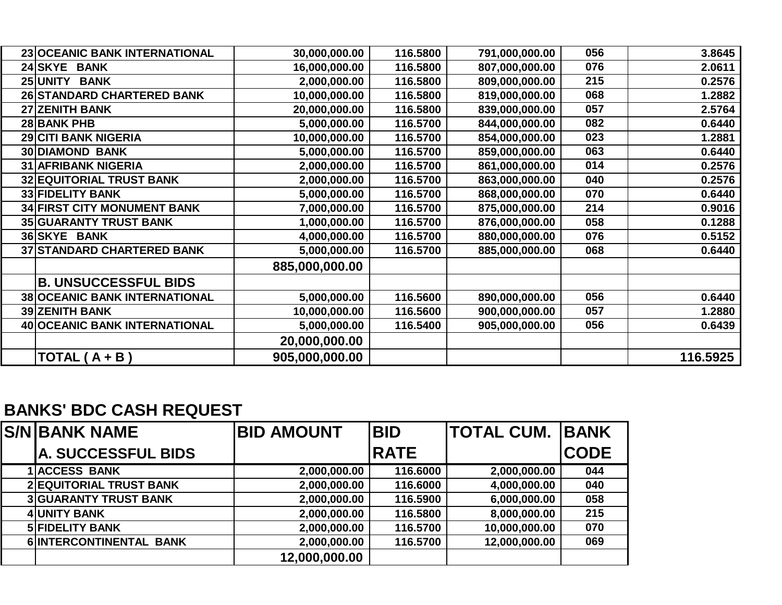| 23 OCEANIC BANK INTERNATIONAL        | 30,000,000.00  | 116.5800 | 791,000,000.00 | 056 | 3.8645   |
|--------------------------------------|----------------|----------|----------------|-----|----------|
| 24 SKYE BANK                         | 16,000,000.00  | 116.5800 | 807,000,000.00 | 076 | 2.0611   |
| <b>25 UNITY</b><br><b>BANK</b>       | 2,000,000.00   | 116.5800 | 809,000,000.00 | 215 | 0.2576   |
| 26 STANDARD CHARTERED BANK           | 10,000,000.00  | 116.5800 | 819,000,000.00 | 068 | 1.2882   |
| 27 ZENITH BANK                       | 20,000,000.00  | 116.5800 | 839,000,000.00 | 057 | 2.5764   |
| 28 BANK PHB                          | 5,000,000.00   | 116.5700 | 844,000,000.00 | 082 | 0.6440   |
| <b>29 CITI BANK NIGERIA</b>          | 10,000,000.00  | 116.5700 | 854,000,000.00 | 023 | 1.2881   |
| <b>30 DIAMOND BANK</b>               | 5,000,000.00   | 116.5700 | 859,000,000.00 | 063 | 0.6440   |
| <b>31 AFRIBANK NIGERIA</b>           | 2,000,000.00   | 116.5700 | 861,000,000.00 | 014 | 0.2576   |
| 32 EQUITORIAL TRUST BANK             | 2,000,000.00   | 116.5700 | 863,000,000.00 | 040 | 0.2576   |
| 33 FIDELITY BANK                     | 5,000,000.00   | 116.5700 | 868,000,000.00 | 070 | 0.6440   |
| <b>34 FIRST CITY MONUMENT BANK</b>   | 7,000,000.00   | 116.5700 | 875,000,000.00 | 214 | 0.9016   |
| 35 GUARANTY TRUST BANK               | 1,000,000.00   | 116.5700 | 876,000,000.00 | 058 | 0.1288   |
| 36 SKYE BANK                         | 4,000,000.00   | 116.5700 | 880,000,000.00 | 076 | 0.5152   |
| <b>37 STANDARD CHARTERED BANK</b>    | 5,000,000.00   | 116.5700 | 885,000,000.00 | 068 | 0.6440   |
|                                      | 885,000,000.00 |          |                |     |          |
| <b>B. UNSUCCESSFUL BIDS</b>          |                |          |                |     |          |
| <b>38 OCEANIC BANK INTERNATIONAL</b> | 5,000,000.00   | 116.5600 | 890,000,000.00 | 056 | 0.6440   |
| <b>39 ZENITH BANK</b>                | 10,000,000.00  | 116.5600 | 900,000,000.00 | 057 | 1.2880   |
| 40 OCEANIC BANK INTERNATIONAL        | 5,000,000.00   | 116.5400 | 905,000,000.00 | 056 | 0.6439   |
|                                      | 20,000,000.00  |          |                |     |          |
| TOTAL $(A + B)$                      | 905,000,000.00 |          |                |     | 116.5925 |

## **BANKS' BDC CASH REQUEST**

| <b>S/NIBANK NAME</b>           | <b>BID AMOUNT</b> | <b>BID</b>  | <b> TOTAL CUM.  BANK</b> |             |
|--------------------------------|-------------------|-------------|--------------------------|-------------|
| <b>A. SUCCESSFUL BIDS</b>      |                   | <b>RATE</b> |                          | <b>CODE</b> |
| <b>1 ACCESS BANK</b>           | 2,000,000.00      | 116.6000    | 2,000,000.00             | 044         |
| <b>2 EQUITORIAL TRUST BANK</b> | 2,000,000.00      | 116.6000    | 4,000,000.00             | 040         |
| <b>3 GUARANTY TRUST BANK</b>   | 2,000,000.00      | 116.5900    | 6,000,000.00             | 058         |
| <b>4 UNITY BANK</b>            | 2,000,000.00      | 116.5800    | 8,000,000.00             | 215         |
| <b>5 FIDELITY BANK</b>         | 2,000,000.00      | 116.5700    | 10,000,000.00            | 070         |
| 6 INTERCONTINENTAL BANK        | 2,000,000.00      | 116.5700    | 12,000,000.00            | 069         |
|                                | 12,000,000.00     |             |                          |             |